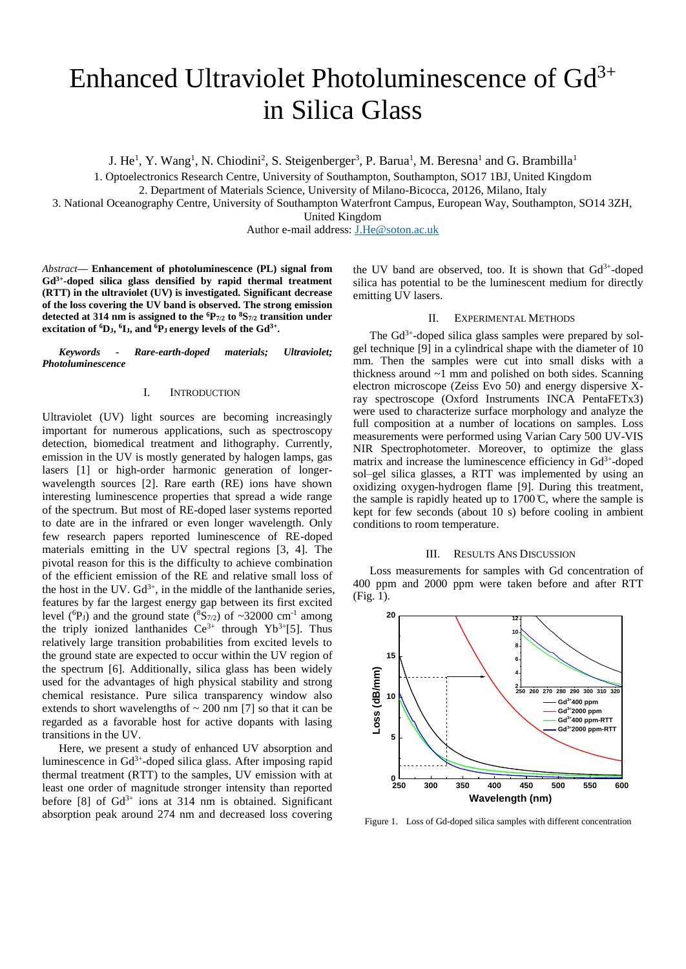# Enhanced Ultraviolet Photoluminescence of  $Gd^{3+}$ in Silica Glass

J. He<sup>1</sup>, Y. Wang<sup>1</sup>, N. Chiodini<sup>2</sup>, S. Steigenberger<sup>3</sup>, P. Barua<sup>1</sup>, M. Beresna<sup>1</sup> and G. Brambilla<sup>1</sup>

1. Optoelectronics Research Centre, University of Southampton, Southampton, SO17 1BJ, United Kingdom

2. Department of Materials Science, University of Milano-Bicocca, 20126, Milano, Italy

3. National Oceanography Centre, University of Southampton Waterfront Campus, European Way, Southampton, SO14 3ZH,

United Kingdom

Author e-mail address: **J.He@soton.ac.uk** 

*Abstract***— Enhancement of photoluminescence (PL) signal from Gd3+ -doped silica glass densified by rapid thermal treatment (RTT) in the ultraviolet (UV) is investigated. Significant decrease of the loss covering the UV band is observed. The strong emission detected at 314 nm is assigned to the <sup>6</sup>P7/2 to <sup>8</sup>S7/2 transition under excitation of <sup>6</sup>DJ, 6 IJ, and <sup>6</sup>P<sup>J</sup> energy levels of the Gd3+ .**

*Keywords - Rare-earth-doped materials; Ultraviolet; Photoluminescence*

# I. INTRODUCTION

Ultraviolet (UV) light sources are becoming increasingly important for numerous applications, such as spectroscopy detection, biomedical treatment and lithography. Currently, emission in the UV is mostly generated by halogen lamps, gas lasers [1] or high-order harmonic generation of longerwavelength sources [2]. Rare earth (RE) ions have shown interesting luminescence properties that spread a wide range of the spectrum. But most of RE-doped laser systems reported to date are in the infrared or even longer wavelength. Only few research papers reported luminescence of RE-doped materials emitting in the UV spectral regions [3, 4]. The pivotal reason for this is the difficulty to achieve combination of the efficient emission of the RE and relative small loss of the host in the UV.  $Gd^{3+}$ , in the middle of the lanthanide series, features by far the largest energy gap between its first excited level ( ${}^{6}P_J$ ) and the ground state ( ${}^{8}S_{7/2}$ ) of ~32000 cm<sup>-1</sup> among the triply ionized lanthanides  $Ce^{3+}$  through Yb<sup>3+</sup>[5]. Thus relatively large transition probabilities from excited levels to the ground state are expected to occur within the UV region of the spectrum [6]. Additionally, silica glass has been widely used for the advantages of high physical stability and strong chemical resistance. Pure silica transparency window also extends to short wavelengths of  $\sim$  200 nm [7] so that it can be regarded as a favorable host for active dopants with lasing transitions in the UV.

Here, we present a study of enhanced UV absorption and luminescence in Gd<sup>3+</sup>-doped silica glass. After imposing rapid thermal treatment (RTT) to the samples, UV emission with at least one order of magnitude stronger intensity than reported before  $[8]$  of  $Gd^{3+}$  ions at 314 nm is obtained. Significant absorption peak around 274 nm and decreased loss covering

the UV band are observed, too. It is shown that  $Gd^{3+}$ -doped silica has potential to be the luminescent medium for directly emitting UV lasers.

### II. EXPERIMENTAL METHODS

The Gd<sup>3+</sup>-doped silica glass samples were prepared by solgel technique [9] in a cylindrical shape with the diameter of 10 mm. Then the samples were cut into small disks with a thickness around ~1 mm and polished on both sides. Scanning electron microscope (Zeiss Evo 50) and energy dispersive Xray spectroscope (Oxford Instruments INCA PentaFETx3) were used to characterize surface morphology and analyze the full composition at a number of locations on samples. Loss measurements were performed using Varian Cary 500 UV-VIS NIR Spectrophotometer. Moreover, to optimize the glass matrix and increase the luminescence efficiency in Gd<sup>3+</sup>-doped sol–gel silica glasses, a RTT was implemented by using an oxidizing oxygen-hydrogen flame [9]. During this treatment, the sample is rapidly heated up to  $1700 \text{ C}$ , where the sample is kept for few seconds (about 10 s) before cooling in ambient conditions to room temperature.

## III. RESULTS ANS DISCUSSION

Loss measurements for samples with Gd concentration of 400 ppm and 2000 ppm were taken before and after RTT (Fig. 1).



Figure 1. Loss of Gd-doped silica samples with different concentration